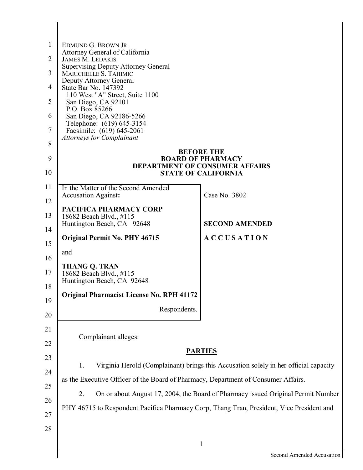| 1<br>$\overline{2}$<br>3<br>$\overline{4}$<br>5<br>6<br>7<br>8<br>9<br>10 | EDMUND G. BROWN JR.<br>Attorney General of California<br><b>JAMES M. LEDAKIS</b><br><b>Supervising Deputy Attorney General</b><br>MARICHELLE S. TAHIMIC<br><b>Deputy Attorney General</b><br>State Bar No. 147392<br>110 West "A" Street, Suite 1100<br>San Diego, CA 92101<br>P.O. Box 85266<br>San Diego, CA 92186-5266<br>Telephone: (619) 645-3154<br>Facsimile: (619) 645-2061<br><b>Attorneys for Complainant</b> | <b>BEFORE THE</b><br><b>BOARD OF PHARMACY</b><br><b>DEPARTMENT OF CONSUMER AFFAIRS</b><br><b>STATE OF CALIFORNIA</b> |
|---------------------------------------------------------------------------|-------------------------------------------------------------------------------------------------------------------------------------------------------------------------------------------------------------------------------------------------------------------------------------------------------------------------------------------------------------------------------------------------------------------------|----------------------------------------------------------------------------------------------------------------------|
| 11                                                                        | In the Matter of the Second Amended                                                                                                                                                                                                                                                                                                                                                                                     |                                                                                                                      |
| 12                                                                        | <b>Accusation Against:</b>                                                                                                                                                                                                                                                                                                                                                                                              | Case No. 3802                                                                                                        |
| 13                                                                        | PACIFICA PHARMACY CORP<br>18682 Beach Blvd., #115<br>Huntington Beach, CA 92648                                                                                                                                                                                                                                                                                                                                         | <b>SECOND AMENDED</b>                                                                                                |
| 14                                                                        | <b>Original Permit No. PHY 46715</b>                                                                                                                                                                                                                                                                                                                                                                                    | <b>ACCUSATION</b>                                                                                                    |
| 15                                                                        | and                                                                                                                                                                                                                                                                                                                                                                                                                     |                                                                                                                      |
| 16<br>17                                                                  | <b>THANG Q. TRAN</b><br>18682 Beach Blvd., #115<br>Huntington Beach, CA 92648                                                                                                                                                                                                                                                                                                                                           |                                                                                                                      |
| 18                                                                        | <b>Original Pharmacist License No. RPH 41172</b>                                                                                                                                                                                                                                                                                                                                                                        |                                                                                                                      |
| 19<br>20                                                                  | Respondents.                                                                                                                                                                                                                                                                                                                                                                                                            |                                                                                                                      |
| 21                                                                        |                                                                                                                                                                                                                                                                                                                                                                                                                         |                                                                                                                      |
| 22                                                                        | Complainant alleges:                                                                                                                                                                                                                                                                                                                                                                                                    |                                                                                                                      |
| 23                                                                        | <b>PARTIES</b>                                                                                                                                                                                                                                                                                                                                                                                                          |                                                                                                                      |
| 24                                                                        | Virginia Herold (Complainant) brings this Accusation solely in her official capacity<br>1.                                                                                                                                                                                                                                                                                                                              |                                                                                                                      |
| 25                                                                        | as the Executive Officer of the Board of Pharmacy, Department of Consumer Affairs.                                                                                                                                                                                                                                                                                                                                      |                                                                                                                      |
| 26                                                                        | On or about August 17, 2004, the Board of Pharmacy issued Original Permit Number<br>2.                                                                                                                                                                                                                                                                                                                                  |                                                                                                                      |
| 27                                                                        | PHY 46715 to Respondent Pacifica Pharmacy Corp, Thang Tran, President, Vice President and                                                                                                                                                                                                                                                                                                                               |                                                                                                                      |
| 28                                                                        |                                                                                                                                                                                                                                                                                                                                                                                                                         |                                                                                                                      |
|                                                                           |                                                                                                                                                                                                                                                                                                                                                                                                                         | 1                                                                                                                    |
|                                                                           |                                                                                                                                                                                                                                                                                                                                                                                                                         | Second Amended Accusation                                                                                            |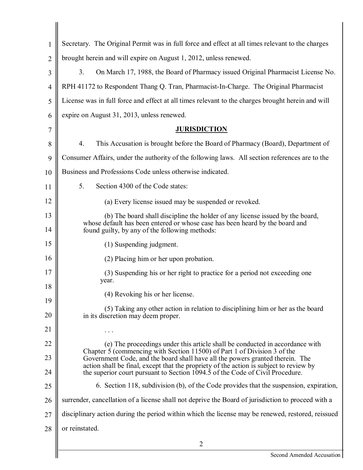| 1              | Secretary. The Original Permit was in full force and effect at all times relevant to the charges                                                                        |  |
|----------------|-------------------------------------------------------------------------------------------------------------------------------------------------------------------------|--|
| $\overline{2}$ | brought herein and will expire on August 1, 2012, unless renewed.                                                                                                       |  |
| 3              | 3.<br>On March 17, 1988, the Board of Pharmacy issued Original Pharmacist License No.                                                                                   |  |
| 4              | RPH 41172 to Respondent Thang Q. Tran, Pharmacist-In-Charge. The Original Pharmacist                                                                                    |  |
| 5              | License was in full force and effect at all times relevant to the charges brought herein and will                                                                       |  |
| 6              | expire on August 31, 2013, unless renewed.                                                                                                                              |  |
| 7              | <b>JURISDICTION</b>                                                                                                                                                     |  |
| 8              | $\overline{4}$ .<br>This Accusation is brought before the Board of Pharmacy (Board), Department of                                                                      |  |
| 9              | Consumer Affairs, under the authority of the following laws. All section references are to the                                                                          |  |
| 10             | Business and Professions Code unless otherwise indicated.                                                                                                               |  |
| 11             | 5.<br>Section 4300 of the Code states:                                                                                                                                  |  |
| 12             | (a) Every license issued may be suspended or revoked.                                                                                                                   |  |
| 13             | (b) The board shall discipline the holder of any license issued by the board,                                                                                           |  |
| 14             | whose default has been entered or whose case has been heard by the board and<br>found guilty, by any of the following methods:                                          |  |
| 15             | (1) Suspending judgment.                                                                                                                                                |  |
| 16             | (2) Placing him or her upon probation.                                                                                                                                  |  |
| 17             | (3) Suspending his or her right to practice for a period not exceeding one<br>year.                                                                                     |  |
| 18             | (4) Revoking his or her license.                                                                                                                                        |  |
| 19             | (5) Taking any other action in relation to disciplining him or her as the board                                                                                         |  |
| 20             | in its discretion may deem proper.                                                                                                                                      |  |
| 21             |                                                                                                                                                                         |  |
| 22             | (e) The proceedings under this article shall be conducted in accordance with<br>Chapter 5 (commencing with Section 11500) of Part 1 of Division 3 of the                |  |
| 23             | Government Code, and the board shall have all the powers granted therein. The<br>action shall be final, except that the propriety of the action is subject to review by |  |
| 24             | the superior court pursuant to Section 1094.5 of the Code of Civil Procedure.                                                                                           |  |
| 25             | 6. Section 118, subdivision (b), of the Code provides that the suspension, expiration,                                                                                  |  |
| 26             | surrender, cancellation of a license shall not deprive the Board of jurisdiction to proceed with a                                                                      |  |
| 27             | disciplinary action during the period within which the license may be renewed, restored, reissued                                                                       |  |
| 28             | or reinstated.                                                                                                                                                          |  |
|                | $\overline{2}$                                                                                                                                                          |  |
|                | Second Amended Accusation                                                                                                                                               |  |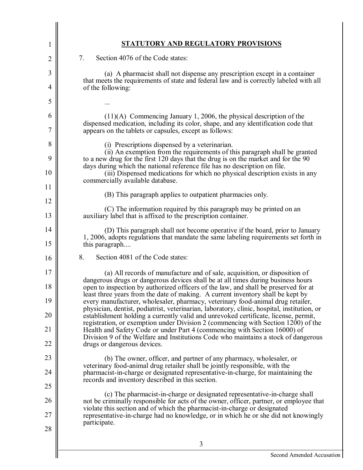| 1        | STATUTORY AND REGULATORY PROVISIONS                                                                                                                                                                                                                        |
|----------|------------------------------------------------------------------------------------------------------------------------------------------------------------------------------------------------------------------------------------------------------------|
| 2        | 7.<br>Section 4076 of the Code states:                                                                                                                                                                                                                     |
| 3        | (a) A pharmacist shall not dispense any prescription except in a container                                                                                                                                                                                 |
| 4        | that meets the requirements of state and federal law and is correctly labeled with all<br>of the following:                                                                                                                                                |
| 5        |                                                                                                                                                                                                                                                            |
| 6        | $(11)(A)$ Commencing January 1, 2006, the physical description of the                                                                                                                                                                                      |
| 7        | dispensed medication, including its color, shape, and any identification code that<br>appears on the tablets or capsules, except as follows:                                                                                                               |
| 8        | (i) Prescriptions dispensed by a veterinarian.<br>(ii) An exemption from the requirements of this paragraph shall be granted                                                                                                                               |
| 9<br>10  | to a new drug for the first 120 days that the drug is on the market and for the 90<br>days during which the national reference file has no description on file.<br>(iii) Dispensed medications for which no physical description exists in any             |
| 11       | commercially available database.                                                                                                                                                                                                                           |
| 12       | (B) This paragraph applies to outpatient pharmacies only.                                                                                                                                                                                                  |
| 13       | (C) The information required by this paragraph may be printed on an<br>auxiliary label that is affixed to the prescription container.                                                                                                                      |
| 14<br>15 | (D) This paragraph shall not become operative if the board, prior to January<br>1, 2006, adopts regulations that mandate the same labeling requirements set forth in<br>this paragraph                                                                     |
| 16       | 8.<br>Section 4081 of the Code states:                                                                                                                                                                                                                     |
| 17       | (a) All records of manufacture and of sale, acquisition, or disposition of                                                                                                                                                                                 |
| 18       | dangerous drugs or dangerous devices shall be at all times during business hours<br>open to inspection by authorized officers of the law, and shall be preserved for at<br>least three years from the date of making. A current inventory shall be kept by |
| 19       | every manufacturer, wholesaler, pharmacy, veterinary food-animal drug retailer,<br>physician, dentist, podiatrist, veterinarian, laboratory, clinic, hospital, institution, or                                                                             |
| 20       | establishment holding a currently valid and unrevoked certificate, license, permit,<br>registration, or exemption under Division 2 (commencing with Section 1200) of the                                                                                   |
| 21       | Health and Safety Code or under Part 4 (commencing with Section 16000) of<br>Division 9 of the Welfare and Institutions Code who maintains a stock of dangerous                                                                                            |
| 22       | drugs or dangerous devices.                                                                                                                                                                                                                                |
| 23       | (b) The owner, officer, and partner of any pharmacy, wholesaler, or<br>veterinary food-animal drug retailer shall be jointly responsible, with the                                                                                                         |
| 24       | pharmacist-in-charge or designated representative-in-charge, for maintaining the<br>records and inventory described in this section.                                                                                                                       |
| 25       | (c) The pharmacist-in-charge or designated representative-in-charge shall                                                                                                                                                                                  |
| 26<br>27 | not be criminally responsible for acts of the owner, officer, partner, or employee that<br>violate this section and of which the pharmacist-in-charge or designated<br>representative-in-charge had no knowledge, or in which he or she did not knowingly  |
| 28       | participate.                                                                                                                                                                                                                                               |
|          | 3                                                                                                                                                                                                                                                          |
|          | Second Amended Accus                                                                                                                                                                                                                                       |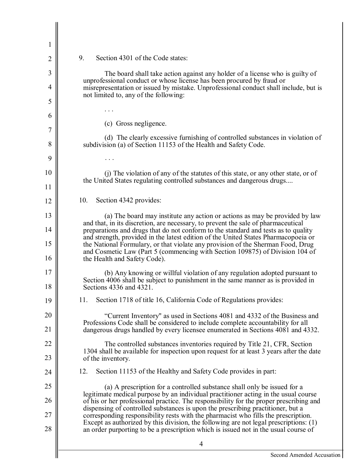| 1        |                                                                                                                                                                                                                                                 |
|----------|-------------------------------------------------------------------------------------------------------------------------------------------------------------------------------------------------------------------------------------------------|
| 2        | 9.<br>Section 4301 of the Code states:                                                                                                                                                                                                          |
| 3        | The board shall take action against any holder of a license who is guilty of                                                                                                                                                                    |
| 4        | unprofessional conduct or whose license has been procured by fraud or<br>misrepresentation or issued by mistake. Unprofessional conduct shall include, but is                                                                                   |
| 5        | not limited to, any of the following:                                                                                                                                                                                                           |
| 6        |                                                                                                                                                                                                                                                 |
| 7        | (c) Gross negligence.                                                                                                                                                                                                                           |
| 8        | (d) The clearly excessive furnishing of controlled substances in violation of<br>subdivision (a) of Section 11153 of the Health and Safety Code.                                                                                                |
| 9        |                                                                                                                                                                                                                                                 |
| 10       | (i) The violation of any of the statutes of this state, or any other state, or of<br>the United States regulating controlled substances and dangerous drugs                                                                                     |
| 11       |                                                                                                                                                                                                                                                 |
| 12       | 10.<br>Section 4342 provides:                                                                                                                                                                                                                   |
| 13       | (a) The board may institute any action or actions as may be provided by law<br>and that, in its discretion, are necessary, to prevent the sale of pharmaceutical                                                                                |
| 14       | preparations and drugs that do not conform to the standard and tests as to quality<br>and strength, provided in the latest edition of the United States Pharmacopoeia or                                                                        |
| 15<br>16 | the National Formulary, or that violate any provision of the Sherman Food, Drug<br>and Cosmetic Law (Part 5 (commencing with Section 109875) of Division 104 of<br>the Health and Safety Code).                                                 |
| 17<br>18 | (b) Any knowing or willful violation of any regulation adopted pursuant to<br>Section 4006 shall be subject to punishment in the same manner as is provided in<br>Sections 4336 and 4321.                                                       |
| 19       | Section 1718 of title 16, California Code of Regulations provides:<br>11.                                                                                                                                                                       |
| 20<br>21 | "Current Inventory" as used in Sections 4081 and 4332 of the Business and<br>Professions Code shall be considered to include complete accountability for all<br>dangerous drugs handled by every licensee enumerated in Sections 4081 and 4332. |
| 22       | The controlled substances inventories required by Title 21, CFR, Section                                                                                                                                                                        |
| 23       | 1304 shall be available for inspection upon request for at least 3 years after the date<br>of the inventory.                                                                                                                                    |
| 24       | 12.<br>Section 11153 of the Healthy and Safety Code provides in part:                                                                                                                                                                           |
| 25       | (a) A prescription for a controlled substance shall only be issued for a                                                                                                                                                                        |
| 26       | legitimate medical purpose by an individual practitioner acting in the usual course<br>of his or her professional practice. The responsibility for the proper prescribing and                                                                   |
| 27       | dispensing of controlled substances is upon the prescribing practitioner, but a<br>corresponding responsibility rests with the pharmacist who fills the prescription.                                                                           |
| 28       | Except as authorized by this division, the following are not legal prescriptions: (1)<br>an order purporting to be a prescription which is issued not in the usual course of                                                                    |
|          | 4                                                                                                                                                                                                                                               |
|          | Second Amended Accus                                                                                                                                                                                                                            |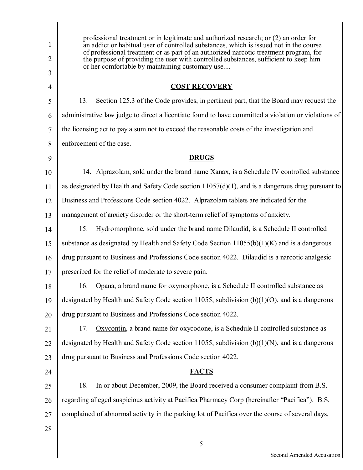1 2 3 4 5 6 7 8 9 10 11 12 13 14 15 16 17 18 19 20 21 22 23 24 25 26 27 28 professional treatment or in legitimate and authorized research; or (2) an order for an addict or habitual user of controlled substances, which is issued not in the course of professional treatment or as part of an authorized narcotic treatment program, for the purpose of providing the user with controlled substances, sufficient to keep him or her comfortable by maintaining customary use.... **COST RECOVERY**  13. Section 125.3 of the Code provides, in pertinent part, that the Board may request the administrative law judge to direct a licentiate found to have committed a violation or violations of the licensing act to pay a sum not to exceed the reasonable costs of the investigation and enforcement of the case. **DRUGS**  14. Alprazolam, sold under the brand name Xanax, is a Schedule IV controlled substance as designated by Health and Safety Code section 11057(d)(1), and is a dangerous drug pursuant to Business and Professions Code section 4022. Alprazolam tablets are indicated for the management of anxiety disorder or the short-term relief of symptoms of anxiety. 15. Hydromorphone, sold under the brand name Dilaudid, is a Schedule II controlled substance as designated by Health and Safety Code Section  $11055(b)(1)(K)$  and is a dangerous drug pursuant to Business and Professions Code section 4022. Dilaudid is a narcotic analgesic prescribed for the relief of moderate to severe pain. 16. Opana, a brand name for oxymorphone, is a Schedule II controlled substance as designated by Health and Safety Code section 11055, subdivision (b)(1)(O), and is a dangerous drug pursuant to Business and Professions Code section 4022. 17. Oxycontin, a brand name for oxycodone, is a Schedule II controlled substance as designated by Health and Safety Code section 11055, subdivision (b)(1)(N), and is a dangerous drug pursuant to Business and Professions Code section 4022. **FACTS**  18. In or about December, 2009, the Board received a consumer complaint from B.S. regarding alleged suspicious activity at Pacifica Pharmacy Corp (hereinafter "Pacifica"). B.S. complained of abnormal activity in the parking lot of Pacifica over the course of several days, 5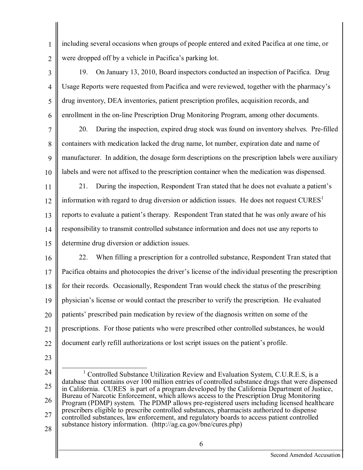including several occasions when groups of people entered and exited Pacifica at one time, or were dropped off by a vehicle in Pacifica's parking lot.

- 3 4 5 6 19. On January 13, 2010, Board inspectors conducted an inspection of Pacifica. Drug Usage Reports were requested from Pacifica and were reviewed, together with the pharmacy's drug inventory, DEA inventories, patient prescription profiles, acquisition records, and enrollment in the on-line Prescription Drug Monitoring Program, among other documents.
- 7 8 9 10 20. During the inspection, expired drug stock was found on inventory shelves. Pre-filled containers with medication lacked the drug name, lot number, expiration date and name of manufacturer. In addition, the dosage form descriptions on the prescription labels were auxiliary labels and were not affixed to the prescription container when the medication was dispensed.
- 11 12 13 14 15 21. During the inspection, Respondent Tran stated that he does not evaluate a patient's information with regard to drug diversion or addiction issues. He does not request  $\text{CURES}^1$ reports to evaluate a patient's therapy. Respondent Tran stated that he was only aware of his responsibility to transmit controlled substance information and does not use any reports to determine drug diversion or addiction issues.
- 16 17 18 19 20 21 22 22. When filling a prescription for a controlled substance, Respondent Tran stated that Pacifica obtains and photocopies the driver's license of the individual presenting the prescription for their records. Occasionally, Respondent Tran would check the status of the prescribing physician's license or would contact the prescriber to verify the prescription. He evaluated patients' prescribed pain medication by review of the diagnosis written on some of the prescriptions. For those patients who were prescribed other controlled substances, he would document early refill authorizations or lost script issues on the patient's profile.
- 23

1

2

<sup>24</sup> 25 26 27 28 <sup>1</sup> Controlled Substance Utilization Review and Evaluation System, C.U.R.E.S, is a database that contains over 100 million entries of controlled substance drugs that were dispensed in California. CURES is part of a program developed by the California Department of Justice, Bureau of Narcotic Enforcement, which allows access to the Prescription Drug Monitoring Program (PDMP) system. The PDMP allows pre-registered users including licensed healthcare prescribers eligible to prescribe controlled substances, pharmacists authorized to dispense controlled substances, law enforcement, and regulatory boards to access patient controlled substance history information. [\(http://ag.ca.gov/bne/cures.php\)](http://ag.ca.gov/bne/cures.php)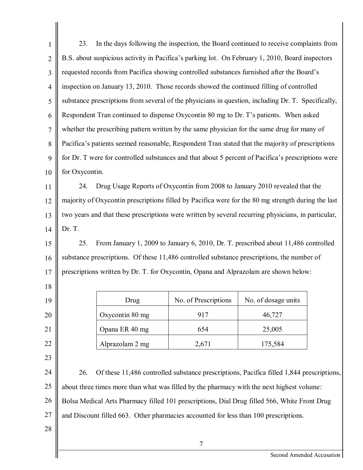| 1              | 23.                                                                                                 | In the days following the inspection, the Board continued to receive complaints from               |                      |                           |  |
|----------------|-----------------------------------------------------------------------------------------------------|----------------------------------------------------------------------------------------------------|----------------------|---------------------------|--|
| $\overline{2}$ |                                                                                                     | B.S. about suspicious activity in Pacifica's parking lot. On February 1, 2010, Board inspectors    |                      |                           |  |
| 3              |                                                                                                     | requested records from Pacifica showing controlled substances furnished after the Board's          |                      |                           |  |
| $\overline{4}$ |                                                                                                     | inspection on January 13, 2010. Those records showed the continued filling of controlled           |                      |                           |  |
| 5              |                                                                                                     | substance prescriptions from several of the physicians in question, including Dr. T. Specifically, |                      |                           |  |
| 6              |                                                                                                     | Respondent Tran continued to dispense Oxycontin 80 mg to Dr. T's patients. When asked              |                      |                           |  |
| $\overline{7}$ |                                                                                                     | whether the prescribing pattern written by the same physician for the same drug for many of        |                      |                           |  |
| 8              |                                                                                                     | Pacifica's patients seemed reasonable, Respondent Tran stated that the majority of prescriptions   |                      |                           |  |
| 9              | for Dr. T were for controlled substances and that about 5 percent of Pacifica's prescriptions were  |                                                                                                    |                      |                           |  |
| 10             | for Oxycontin.                                                                                      |                                                                                                    |                      |                           |  |
| 11             | 24.                                                                                                 | Drug Usage Reports of Oxycontin from 2008 to January 2010 revealed that the                        |                      |                           |  |
| 12             | majority of Oxycontin prescriptions filled by Pacifica were for the 80 mg strength during the last  |                                                                                                    |                      |                           |  |
| 13             | two years and that these prescriptions were written by several recurring physicians, in particular, |                                                                                                    |                      |                           |  |
| 14             | Dr. T.                                                                                              |                                                                                                    |                      |                           |  |
| 15             | From January 1, 2009 to January 6, 2010, Dr. T. prescribed about 11,486 controlled<br>25.           |                                                                                                    |                      |                           |  |
| 16             | substance prescriptions. Of these 11,486 controlled substance prescriptions, the number of          |                                                                                                    |                      |                           |  |
| 17             |                                                                                                     | prescriptions written by Dr. T. for Oxycontin, Opana and Alprazolam are shown below:               |                      |                           |  |
| 18             |                                                                                                     |                                                                                                    |                      |                           |  |
| 19             |                                                                                                     | Drug                                                                                               | No. of Prescriptions | No. of dosage units       |  |
| 20             |                                                                                                     | Oxycontin 80 mg                                                                                    | 917                  | 46,727                    |  |
| 21             |                                                                                                     | Opana ER 40 mg                                                                                     | 654                  | 25,005                    |  |
| 22             |                                                                                                     | Alprazolam 2 mg                                                                                    | 2,671                | 175,584                   |  |
| 23             |                                                                                                     |                                                                                                    |                      |                           |  |
| 24             | 26.                                                                                                 | Of these 11,486 controlled substance prescriptions, Pacifica filled 1,844 prescriptions,           |                      |                           |  |
| 25             | about three times more than what was filled by the pharmacy with the next highest volume:           |                                                                                                    |                      |                           |  |
| 26             | Bolsa Medical Arts Pharmacy filled 101 prescriptions, Dial Drug filled 566, White Front Drug        |                                                                                                    |                      |                           |  |
| 27             | and Discount filled 663. Other pharmacies accounted for less than 100 prescriptions.                |                                                                                                    |                      |                           |  |
| 28             |                                                                                                     |                                                                                                    |                      |                           |  |
|                |                                                                                                     |                                                                                                    | $\overline{7}$       |                           |  |
|                |                                                                                                     |                                                                                                    |                      | Second Amended Accusation |  |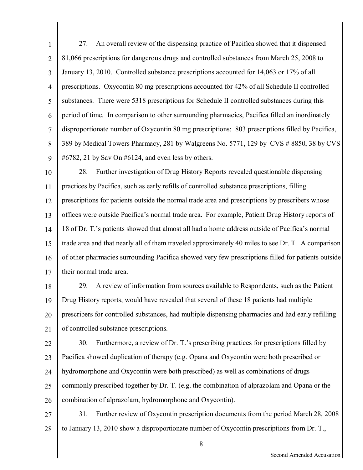1 2 3 4 5 6 7 8  $\overline{Q}$ 27. An overall review of the dispensing practice of Pacifica showed that it dispensed 81,066 prescriptions for dangerous drugs and controlled substances from March 25, 2008 to January 13, 2010. Controlled substance prescriptions accounted for 14,063 or 17% of all prescriptions. Oxycontin 80 mg prescriptions accounted for 42% of all Schedule II controlled substances. There were 5318 prescriptions for Schedule II controlled substances during this period of time. In comparison to other surrounding pharmacies, Pacifica filled an inordinately disproportionate number of Oxycontin 80 mg prescriptions: 803 prescriptions filled by Pacifica, 389 by Medical Towers Pharmacy, 281 by Walgreens No. 5771, 129 by CVS # 8850, 38 by CVS #6782, 21 by Sav On #6124, and even less by others.

10 11 12 13 14 15 16 17 28. Further investigation of Drug History Reports revealed questionable dispensing practices by Pacifica, such as early refills of controlled substance prescriptions, filling prescriptions for patients outside the normal trade area and prescriptions by prescribers whose offices were outside Pacifica's normal trade area. For example, Patient Drug History reports of 18 of Dr. T.'s patients showed that almost all had a home address outside of Pacifica's normal trade area and that nearly all of them traveled approximately 40 miles to see Dr. T. A comparison of other pharmacies surrounding Pacifica showed very few prescriptions filled for patients outside their normal trade area.

18 19 20 21 29. A review of information from sources available to Respondents, such as the Patient Drug History reports, would have revealed that several of these 18 patients had multiple prescribers for controlled substances, had multiple dispensing pharmacies and had early refilling of controlled substance prescriptions.

22 23 24 25 26 30. Furthermore, a review of Dr. T.'s prescribing practices for prescriptions filled by Pacifica showed duplication of therapy (e.g. Opana and Oxycontin were both prescribed or hydromorphone and Oxycontin were both prescribed) as well as combinations of drugs commonly prescribed together by Dr. T. (e.g. the combination of alprazolam and Opana or the combination of alprazolam, hydromorphone and Oxycontin).

27 28 31. Further review of Oxycontin prescription documents from the period March 28, 2008 to January 13, 2010 show a disproportionate number of Oxycontin prescriptions from Dr. T.,

8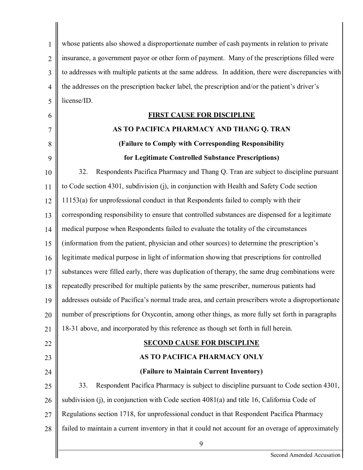| $\mathbf{1}$   | whose patients also showed a disproportionate number of cash payments in relation to private        |
|----------------|-----------------------------------------------------------------------------------------------------|
| $\overline{2}$ | insurance, a government payor or other form of payment. Many of the prescriptions filled were       |
| 3              | to addresses with multiple patients at the same address. In addition, there were discrepancies with |
| $\overline{4}$ | the addresses on the prescription backer label, the prescription and/or the patient's driver's      |
| 5              | license/ID.                                                                                         |
| 6              | <u>FIRST CAUSE FOR DISCIPLINE</u>                                                                   |
| 7              | AS TO PACIFICA PHARMACY AND THANG Q. TRAN                                                           |
| 8              | (Failure to Comply with Corresponding Responsibility                                                |
| 9              | for Legitimate Controlled Substance Prescriptions)                                                  |
| 10             | 32.<br>Respondents Pacifica Pharmacy and Thang Q. Tran are subject to discipline pursuant           |
| 11             | to Code section 4301, subdivision (j), in conjunction with Health and Safety Code section           |
| 12             | 11153(a) for unprofessional conduct in that Respondents failed to comply with their                 |
| 13             | corresponding responsibility to ensure that controlled substances are dispensed for a legitimate    |
| 14             | medical purpose when Respondents failed to evaluate the totality of the circumstances               |
| 15             | (information from the patient, physician and other sources) to determine the prescription's         |
| 16             | legitimate medical purpose in light of information showing that prescriptions for controlled        |
| 17             | substances were filled early, there was duplication of therapy, the same drug combinations were     |
| 18             | repeatedly prescribed for multiple patients by the same prescriber, numerous patients had           |
| 19             | addresses outside of Pacifica's normal trade area, and certain prescribers wrote a disproportionate |
| 20             | number of prescriptions for Oxycontin, among other things, as more fully set forth in paragraphs    |
| 21             | 18-31 above, and incorporated by this reference as though set forth in full herein.                 |
| 22             | <b>SECOND CAUSE FOR DISCIPLINE</b>                                                                  |
| 23             | AS TO PACIFICA PHARMACY ONLY                                                                        |
| 24             | (Failure to Maintain Current Inventory)                                                             |
| 25             | 33.<br>Respondent Pacifica Pharmacy is subject to discipline pursuant to Code section 4301,         |
| 26             | subdivision (j), in conjunction with Code section $4081(a)$ and title 16, California Code of        |
| 27             | Regulations section 1718, for unprofessional conduct in that Respondent Pacifica Pharmacy           |
| 28             | failed to maintain a current inventory in that it could not account for an overage of approximately |
|                | 9                                                                                                   |
|                | Second Amended Accusation                                                                           |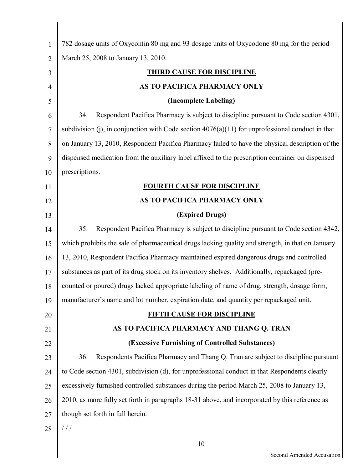| 1              | 782 dosage units of Oxycontin 80 mg and 93 dosage units of Oxycodone 80 mg for the period          |
|----------------|----------------------------------------------------------------------------------------------------|
| $\overline{2}$ | March 25, 2008 to January 13, 2010.                                                                |
| 3              | <u>THIRD CAUSE FOR DISCIPLINE</u>                                                                  |
| 4              | AS TO PACIFICA PHARMACY ONLY                                                                       |
| 5              | (Incomplete Labeling)                                                                              |
| 6              | Respondent Pacifica Pharmacy is subject to discipline pursuant to Code section 4301,<br>34.        |
| 7              | subdivision (j), in conjunction with Code section $4076(a)(11)$ for unprofessional conduct in that |
| 8              | on January 13, 2010, Respondent Pacifica Pharmacy failed to have the physical description of the   |
| 9              | dispensed medication from the auxiliary label affixed to the prescription container on dispensed   |
| 10             | prescriptions.                                                                                     |
| 11             | <b>FOURTH CAUSE FOR DISCIPLINE</b>                                                                 |
| 12             | AS TO PACIFICA PHARMACY ONLY                                                                       |
| 13             | (Expired Drugs)                                                                                    |
| 14             | 35.<br>Respondent Pacifica Pharmacy is subject to discipline pursuant to Code section 4342,        |
| 15             | which prohibits the sale of pharmaceutical drugs lacking quality and strength, in that on January  |
| 16             | 13, 2010, Respondent Pacifica Pharmacy maintained expired dangerous drugs and controlled           |
| 17             | substances as part of its drug stock on its inventory shelves. Additionally, repackaged (pre-      |
| 18             | counted or poured) drugs lacked appropriate labeling of name of drug, strength, dosage form,       |
| 19             | manufacturer's name and lot number, expiration date, and quantity per repackaged unit.             |
| 20             | <b>FIFTH CAUSE FOR DISCIPLINE</b>                                                                  |
| 21             | AS TO PACIFICA PHARMACY AND THANG Q. TRAN                                                          |
| 22             | (Excessive Furnishing of Controlled Substances)                                                    |
| 23             | 36.<br>Respondents Pacifica Pharmacy and Thang Q. Tran are subject to discipline pursuant          |
| 24             | to Code section 4301, subdivision (d), for unprofessional conduct in that Respondents clearly      |
| 25             | excessively furnished controlled substances during the period March 25, 2008 to January 13,        |
| 26             | 2010, as more fully set forth in paragraphs 18-31 above, and incorporated by this reference as     |
| 27             | though set forth in full herein.                                                                   |
| 28             | 111                                                                                                |
|                | 10                                                                                                 |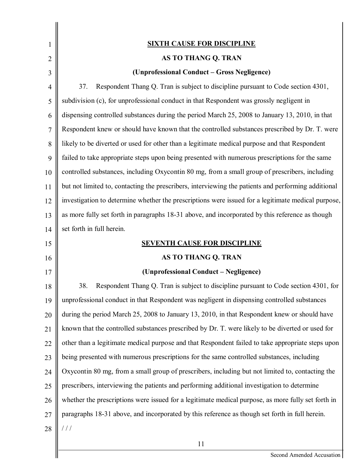| 1              | <b>SIXTH CAUSE FOR DISCIPLINE</b>                                                                   |
|----------------|-----------------------------------------------------------------------------------------------------|
| $\overline{2}$ | AS TO THANG Q. TRAN                                                                                 |
| 3              | (Unprofessional Conduct – Gross Negligence)                                                         |
| $\overline{4}$ | 37.<br>Respondent Thang Q. Tran is subject to discipline pursuant to Code section 4301,             |
| 5              | subdivision (c), for unprofessional conduct in that Respondent was grossly negligent in             |
| 6              | dispensing controlled substances during the period March 25, 2008 to January 13, 2010, in that      |
| 7              | Respondent knew or should have known that the controlled substances prescribed by Dr. T. were       |
| 8              | likely to be diverted or used for other than a legitimate medical purpose and that Respondent       |
| 9              | failed to take appropriate steps upon being presented with numerous prescriptions for the same      |
| 10             | controlled substances, including Oxycontin 80 mg, from a small group of prescribers, including      |
| 11             | but not limited to, contacting the prescribers, interviewing the patients and performing additional |
| 12             | investigation to determine whether the prescriptions were issued for a legitimate medical purpose,  |
| 13             | as more fully set forth in paragraphs 18-31 above, and incorporated by this reference as though     |
| 14             | set forth in full herein.                                                                           |
| 15             | <b>SEVENTH CAUSE FOR DISCIPLINE</b>                                                                 |
| 16             | AS TO THANG Q. TRAN                                                                                 |
| 17             | (Unprofessional Conduct - Negligence)                                                               |
| $18\,$         | 38.<br>Respondent Thang Q. Tran is subject to discipline pursuant to Code section 4301, for         |
| 19             | unprofessional conduct in that Respondent was negligent in dispensing controlled substances         |
| 20             | during the period March 25, 2008 to January 13, 2010, in that Respondent knew or should have        |
| 21             | known that the controlled substances prescribed by Dr. T. were likely to be diverted or used for    |
| 22             | other than a legitimate medical purpose and that Respondent failed to take appropriate steps upon   |
| 23             | being presented with numerous prescriptions for the same controlled substances, including           |
| 24             | Oxycontin 80 mg, from a small group of prescribers, including but not limited to, contacting the    |
| 25             | prescribers, interviewing the patients and performing additional investigation to determine         |
| 26             | whether the prescriptions were issued for a legitimate medical purpose, as more fully set forth in  |
| 27             | paragraphs 18-31 above, and incorporated by this reference as though set forth in full herein.      |
| 28             | 111                                                                                                 |
|                | 11                                                                                                  |
|                | Second Amended Accusation                                                                           |

Second Amended Accusation